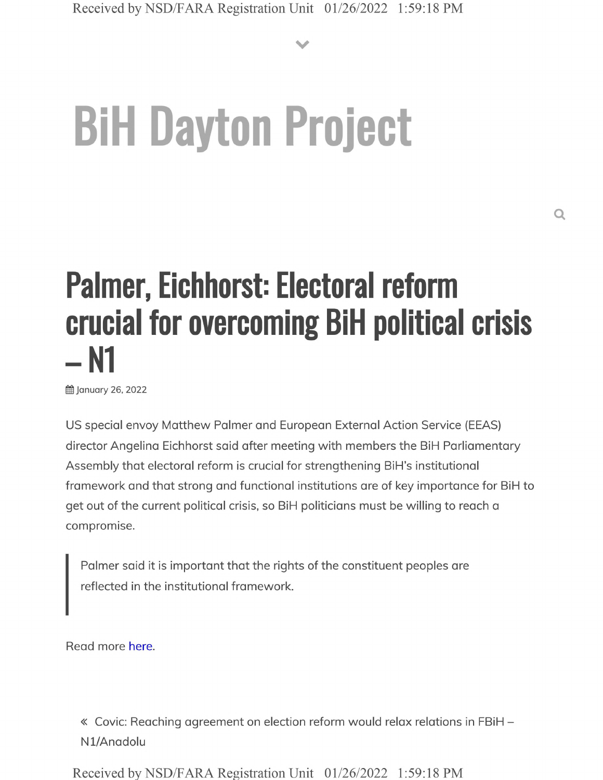**V**

## **BiH Dayton Project**

## Palmer, Eichhorst: Electoral reform crucial for overcoming BiH political crisis – N1

**曲 January 26, 2022** 

US special envoy Matthew Palmer and European External Action Service (EEAS) director Angelina Eichhorst said after meeting with members the BiH Parliamentary Assembly that electoral reform is crucial for strengthening BiH's institutional framework and that strong and functional institutions are of key importance for BiH to get out of the current political crisis, so BiH politicians must be willing to reach a compromise.

Palmer said it is important that the rights of the constituent peoples are reflected in the institutional framework.

Read more here.

« Covic: Reaching agreement on election reform would relax relations in FBiH - Nl/Anadolu

Received by NSD/FARA Registration Unit 01/26/2022 1:59:18 PM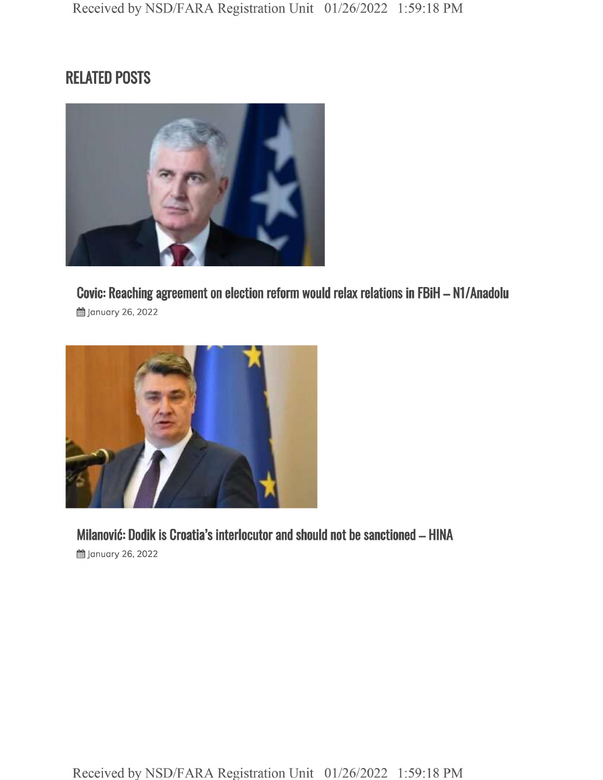## **RELATED POSTS**



**Covic: Reaching agreement on election reform would relax relations in FBiH - Nl/Anadolu 曲 January 26, 2022** 



**Milanovic: Dodik is Croatia's interlocutor and should not be sanctioned - HINA 的 January 26, 2022**